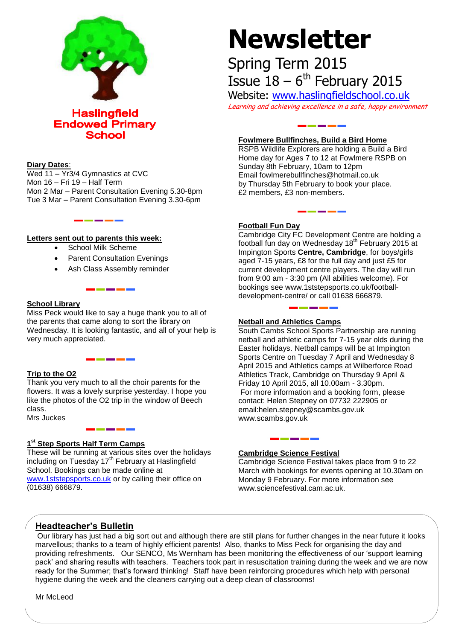

**Endowed Primary School** 

#### **Diary Dates**:

Wed 11 – Yr3/4 Gymnastics at CVC Mon 16 – Fri 19 – Half Term Mon 2 Mar – Parent Consultation Evening 5.30-8pm Tue 3 Mar – Parent Consultation Evening 3.30-6pm

#### **Letters sent out to parents this week:**

- School Milk Scheme
- Parent Consultation Evenings
- Ash Class Assembly reminder

#### **School Library**

Miss Peck would like to say a huge thank you to all of the parents that came along to sort the library on Wednesday. It is looking fantastic, and all of your help is very much appreciated.

#### **Trip to the O2**

Thank you very much to all the choir parents for the flowers. It was a lovely surprise yesterday. I hope you like the photos of the O2 trip in the window of Beech class.

Mrs Juckes

#### **1 st Step Sports Half Term Camps**

These will be running at various sites over the holidays including on Tuesday 17<sup>th</sup> February at Haslingfield School. Bookings can be made online at [www.1ststepsports.co.uk](http://www.1ststepsports.co.uk/) or by calling their office on (01638) 666879.

# **Newsletter**

## Spring Term 2015 Issue  $18-6^{\text{th}}$  February 2015

Website: [www.haslingfieldschool.co.uk](http://www.haslingfieldschool.co.uk/) Learning and achieving excellence in a safe, happy environment

#### **Fowlmere Bullfinches, Build a Bird Home**

RSPB Wildlife Explorers are holding a Build a Bird Home day for Ages 7 to 12 at Fowlmere RSPB on Sunday 8th February, 10am to 12pm Email fowlmerebullfinches@hotmail.co.uk by Thursday 5th February to book your place. £2 members, £3 non-members.

#### **Football Fun Day**

Cambridge City FC Development Centre are holding a football fun day on Wednesday 18<sup>th</sup> February 2015 at Impington Sports **Centre, Cambridge**, for boys/girls aged 7-15 years, £8 for the full day and just £5 for current development centre players. The day will run from 9:00 am - 3:30 pm (All abilities welcome). For bookings see www.1ststepsports.co.uk/footballdevelopment-centre/ or call 01638 666879.

#### **Netball and Athletics Camps**

South Cambs School Sports Partnership are running netball and athletic camps for 7-15 year olds during the Easter holidays. Netball camps will be at Impington Sports Centre on Tuesday 7 April and Wednesday 8 April 2015 and Athletics camps at Wilberforce Road Athletics Track, Cambridge on Thursday 9 April & Friday 10 April 2015, all 10.00am - 3.30pm. For more information and a booking form, please contact: Helen Stepney on 07732 222905 or email:helen.stepney@scambs.gov.uk www.scambs.gov.uk

#### **Cambridge Science Festival**

Cambridge Science Festival takes place from 9 to 22 March with bookings for events opening at 10.30am on Monday 9 February. For more information see www.sciencefestival.cam.ac.uk.

### **Headteacher's Bulletin**

Our library has just had a big sort out and although there are still plans for further changes in the near future it looks marvellous; thanks to a team of highly efficient parents! Also, thanks to Miss Peck for organising the day and providing refreshments. Our SENCO, Ms Wernham has been monitoring the effectiveness of our 'support learning pack' and sharing results with teachers. Teachers took part in resuscitation training during the week and we are now ready for the Summer; that's forward thinking! Staff have been reinforcing procedures which help with personal hygiene during the week and the cleaners carrying out a deep clean of classrooms!

Mr McLeod